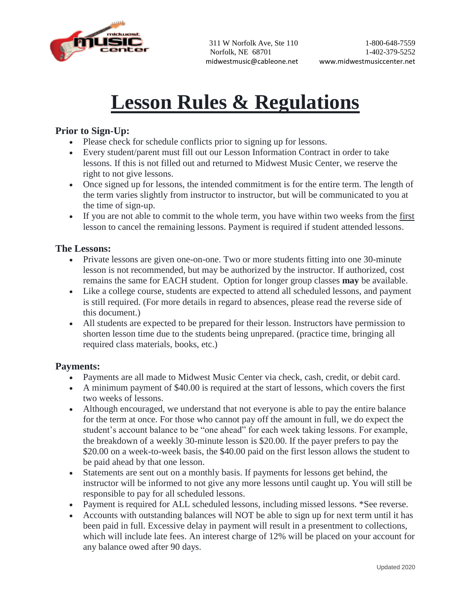

# **Lesson Rules & Regulations**

### **Prior to Sign-Up:**

- Please check for schedule conflicts prior to signing up for lessons.
- Every student/parent must fill out our Lesson Information Contract in order to take lessons. If this is not filled out and returned to Midwest Music Center, we reserve the right to not give lessons.
- Once signed up for lessons, the intended commitment is for the entire term. The length of the term varies slightly from instructor to instructor, but will be communicated to you at the time of sign-up.
- If you are not able to commit to the whole term, you have within two weeks from the first lesson to cancel the remaining lessons. Payment is required if student attended lessons.

### **The Lessons:**

- Private lessons are given one-on-one. Two or more students fitting into one 30-minute lesson is not recommended, but may be authorized by the instructor. If authorized, cost remains the same for EACH student. Option for longer group classes **may** be available.
- Like a college course, students are expected to attend all scheduled lessons, and payment is still required. (For more details in regard to absences, please read the reverse side of this document.)
- All students are expected to be prepared for their lesson. Instructors have permission to shorten lesson time due to the students being unprepared. (practice time, bringing all required class materials, books, etc.)

#### **Payments:**

- Payments are all made to Midwest Music Center via check, cash, credit, or debit card.
- A minimum payment of \$40.00 is required at the start of lessons, which covers the first two weeks of lessons.
- Although encouraged, we understand that not everyone is able to pay the entire balance for the term at once. For those who cannot pay off the amount in full, we do expect the student's account balance to be "one ahead" for each week taking lessons. For example, the breakdown of a weekly 30-minute lesson is \$20.00. If the payer prefers to pay the \$20.00 on a week-to-week basis, the \$40.00 paid on the first lesson allows the student to be paid ahead by that one lesson.
- Statements are sent out on a monthly basis. If payments for lessons get behind, the instructor will be informed to not give any more lessons until caught up. You will still be responsible to pay for all scheduled lessons.
- Payment is required for ALL scheduled lessons, including missed lessons. \*See reverse.
- Accounts with outstanding balances will NOT be able to sign up for next term until it has been paid in full. Excessive delay in payment will result in a presentment to collections, which will include late fees. An interest charge of 12% will be placed on your account for any balance owed after 90 days.